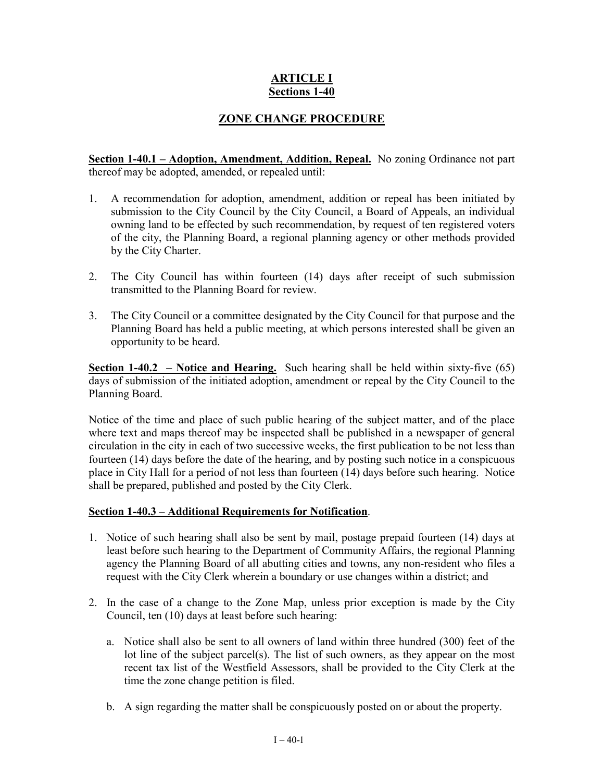## **ARTICLE I Sections 1-40**

## **ZONE CHANGE PROCEDURE**

**Section 1-40.1 – Adoption, Amendment, Addition, Repeal.** No zoning Ordinance not part thereof may be adopted, amended, or repealed until:

- 1. A recommendation for adoption, amendment, addition or repeal has been initiated by submission to the City Council by the City Council, a Board of Appeals, an individual owning land to be effected by such recommendation, by request of ten registered voters of the city, the Planning Board, a regional planning agency or other methods provided by the City Charter.
- 2. The City Council has within fourteen (14) days after receipt of such submission transmitted to the Planning Board for review.
- 3. The City Council or a committee designated by the City Council for that purpose and the Planning Board has held a public meeting, at which persons interested shall be given an opportunity to be heard.

**Section 1-40.2 – Notice and Hearing.** Such hearing shall be held within sixty-five (65) days of submission of the initiated adoption, amendment or repeal by the City Council to the Planning Board.

Notice of the time and place of such public hearing of the subject matter, and of the place where text and maps thereof may be inspected shall be published in a newspaper of general circulation in the city in each of two successive weeks, the first publication to be not less than fourteen (14) days before the date of the hearing, and by posting such notice in a conspicuous place in City Hall for a period of not less than fourteen (14) days before such hearing. Notice shall be prepared, published and posted by the City Clerk.

## **Section 1-40.3 – Additional Requirements for Notification**.

- 1. Notice of such hearing shall also be sent by mail, postage prepaid fourteen (14) days at least before such hearing to the Department of Community Affairs, the regional Planning agency the Planning Board of all abutting cities and towns, any non-resident who files a request with the City Clerk wherein a boundary or use changes within a district; and
- 2. In the case of a change to the Zone Map, unless prior exception is made by the City Council, ten (10) days at least before such hearing:
	- a. Notice shall also be sent to all owners of land within three hundred (300) feet of the lot line of the subject parcel(s). The list of such owners, as they appear on the most recent tax list of the Westfield Assessors, shall be provided to the City Clerk at the time the zone change petition is filed.
	- b. A sign regarding the matter shall be conspicuously posted on or about the property.